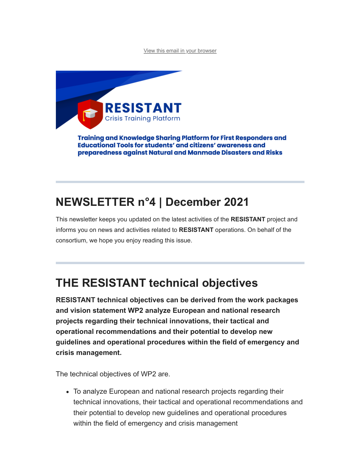[View this email in your browser](https://mailchi.mp/e32885d42035/resistant-newsletter-5030210?e=a4d101e20d)



Training and Knowledge Sharing Platform for First Responders and **Educational Tools for students' and citizens' awareness and** preparedness against Natural and Manmade Disasters and Risks

# **NEWSLETTER n°4 | December 2021**

This newsletter keeps you updated on the latest activities of the **RESISTANT** project and informs you on news and activities related to **RESISTANT** operations. On behalf of the consortium, we hope you enjoy reading this issue.

# **THE RESISTANT technical objectives**

**RESISTANT technical objectives can be derived from the work packages and vision statement WP2 analyze European and national research projects regarding their technical innovations, their tactical and operational recommendations and their potential to develop new guidelines and operational procedures within the field of emergency and crisis management.** 

The technical objectives of WP2 are.

To analyze European and national research projects regarding their technical innovations, their tactical and operational recommendations and their potential to develop new guidelines and operational procedures within the field of emergency and crisis management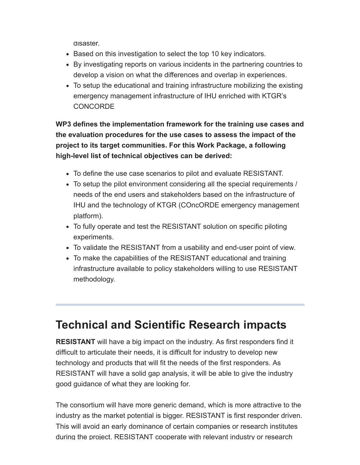disaster.

- Based on this investigation to select the top 10 key indicators.
- By investigating reports on various incidents in the partnering countries to develop a vision on what the differences and overlap in experiences.
- To setup the educational and training infrastructure mobilizing the existing emergency management infrastructure of IHU enriched with KTGR's **CONCORDE**

**WP3 defines the implementation framework for the training use cases and the evaluation procedures for the use cases to assess the impact of the project to its target communities. For this Work Package, a following high-level list of technical objectives can be derived:**

- To define the use case scenarios to pilot and evaluate RESISTANT.
- To setup the pilot environment considering all the special requirements / needs of the end users and stakeholders based on the infrastructure of IHU and the technology of KTGR (COncORDE emergency management platform).
- To fully operate and test the RESISTANT solution on specific piloting experiments.
- To validate the RESISTANT from a usability and end-user point of view.
- To make the capabilities of the RESISTANT educational and training infrastructure available to policy stakeholders willing to use RESISTANT methodology.

## **Technical and Scientific Research impacts**

**RESISTANT** will have a big impact on the industry. As first responders find it difficult to articulate their needs, it is difficult for industry to develop new technology and products that will fit the needs of the first responders. As RESISTANT will have a solid gap analysis, it will be able to give the industry good guidance of what they are looking for.

The consortium will have more generic demand, which is more attractive to the industry as the market potential is bigger. RESISTANT is first responder driven. This will avoid an early dominance of certain companies or research institutes during the project. RESISTANT cooperate with relevant industry or research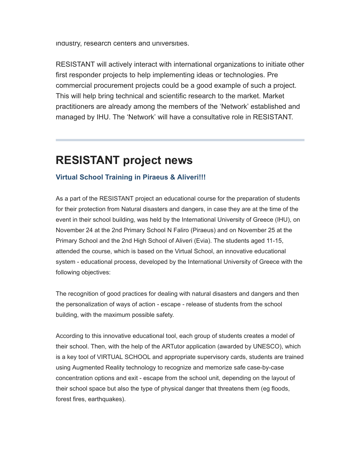industry, research centers and universities.

RESISTANT will actively interact with international organizations to initiate other first responder projects to help implementing ideas or technologies. Pre commercial procurement projects could be a good example of such a project. This will help bring technical and scientific research to the market. Market practitioners are already among the members of the 'Network' established and managed by IHU. The 'Network' will have a consultative role in RESISTANT.

### **RESISTANT project news**

#### **Virtual School Training in Piraeus & Aliveri!!!**

As a part of the RESISTANT project an educational course for the preparation of students for their protection from Natural disasters and dangers, in case they are at the time of the event in their school building, was held by the International University of Greece (IHU), on November 24 at the 2nd Primary School N Faliro (Piraeus) and on November 25 at the Primary School and the 2nd High School of Aliveri (Evia). The students aged 11-15, attended the course, which is based on the Virtual School, an innovative educational system - educational process, developed by the International University of Greece with the following objectives:

The recognition of good practices for dealing with natural disasters and dangers and then the personalization of ways of action - escape - release of students from the school building, with the maximum possible safety.

According to this innovative educational tool, each group of students creates a model of their school. Then, with the help of the ARTutor application (awarded by UNESCO), which is a key tool of VIRTUAL SCHOOL and appropriate supervisory cards, students are trained using Augmented Reality technology to recognize and memorize safe case-by-case concentration options and exit - escape from the school unit, depending on the layout of their school space but also the type of physical danger that threatens them (eg floods, forest fires, earthquakes).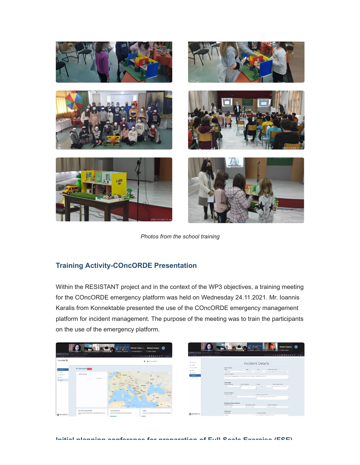

*Photos from the school training*

#### **Training Activity-COncORDE Presentation**

Within the RESISTANT project and in the context of the WP3 objectives, a training meeting for the COncORDE emergency platform was held on Wednesday 24.11.2021. Mr. Ioannis Karalis from Konnektable presented the use of the COncORDE emergency management platform for incident management. The purpose of the meeting was to train the participants on the use of the emergency platform.



**Initial planning conference for preparation of Full-Scale Exercise (FSE)**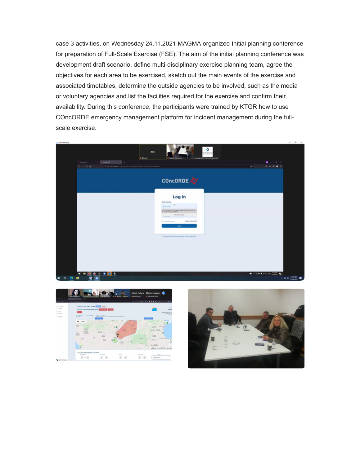case 3 activities, on Wednesday 24.11.2021 MAGMA organized Initial planning conference for preparation of Full-Scale Exercise (FSE). The aim of the initial planning conference was development draft scenario, define multi-disciplinary exercise planning team, agree the objectives for each area to be exercised, sketch out the main events of the exercise and associated timetables, determine the outside agencies to be involved, such as the media or voluntary agencies and list the facilities required for the exercise and confirm their availability. During this conference, the participants were trained by KTGR how to use COncORDE emergency management platform for incident management during the fullscale exercise.





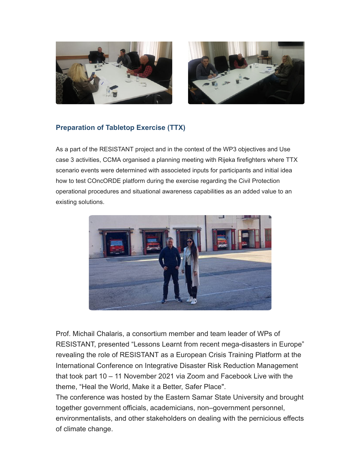



#### **Preparation of Tabletop Exercise (TTX)**

As a part of the RESISTANT project and in the context of the WP3 objectives and Use case 3 activities, CCMA organised a planning meeting with Rijeka firefighters where TTX scenario events were determined with associeted inputs for participants and initial idea how to test COncORDE platform during the exercise regarding the Civil Protection operational procedures and situational awareness capabilities as an added value to an existing solutions.



Prof. Michail Chalaris, a consortium member and team leader of WPs of RESISTANT, presented "Lessons Learnt from recent mega-disasters in Europe" revealing the role of RESISTANT as a European Crisis Training Platform at the International Conference on Integrative Disaster Risk Reduction Management that took part 10 – 11 November 2021 via Zoom and Facebook Live with the theme, "Heal the World, Make it a Better, Safer Place".

The conference was hosted by the Eastern Samar State University and brought together government officials, academicians, non–government personnel, environmentalists, and other stakeholders on dealing with the pernicious effects of climate change.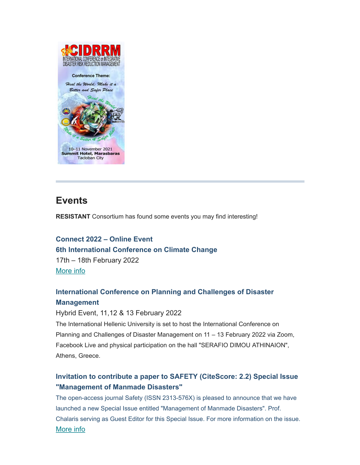

### **Events**

**RESISTANT** Consortium has found some events you may find interesting!

**Connect 2022 – Online Event 6th International Conference on Climate Change**  17th – 18th February 2022 [More info](https://climatechangeconferences.com/)

#### **International Conference on Planning and Challenges of Disaster Management**

#### Hybrid Event, 11,12 & 13 February 2022

The International Hellenic University is set to host the International Conference on Planning and Challenges of Disaster Management on 11 – 13 February 2022 via Zoom, Facebook Live and physical participation on the hall "SERAFIO DIMOU ATHINAION", Athens, Greece.

#### **Invitation to contribute a paper to SAFETY (CiteScore: 2.2) Special Issue "Management of Manmade Disasters"**

The open-access journal Safety (ISSN 2313-576X) is pleased to announce that we have launched a new Special Issue entitled "Management of Manmade Disasters". Prof. Chalaris serving as Guest Editor for this Special Issue. For more information on the issue. [More info](https://www.mdpi.com/journal/safety/special_issues/manmade_disasters)